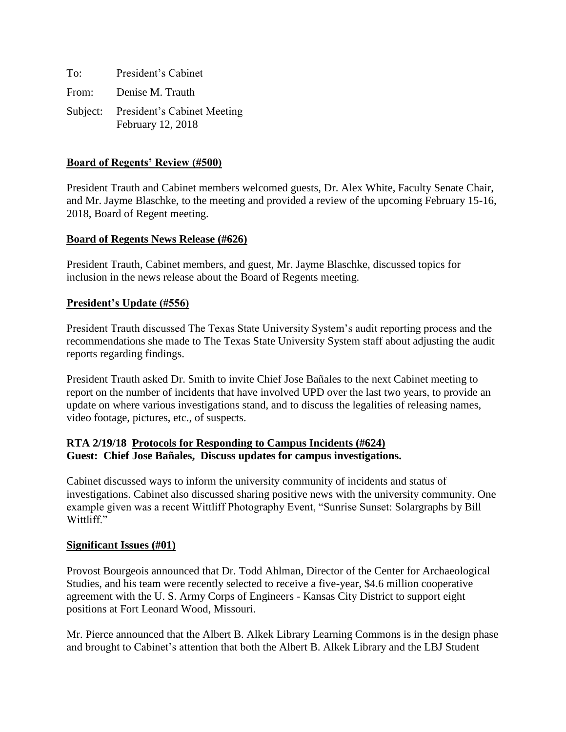To: President's Cabinet From: Denise M. Trauth Subject: President's Cabinet Meeting February 12, 2018

## **Board of Regents' Review (#500)**

President Trauth and Cabinet members welcomed guests, Dr. Alex White, Faculty Senate Chair, and Mr. Jayme Blaschke, to the meeting and provided a review of the upcoming February 15-16, 2018, Board of Regent meeting.

### **Board of Regents News Release (#626)**

President Trauth, Cabinet members, and guest, Mr. Jayme Blaschke, discussed topics for inclusion in the news release about the Board of Regents meeting.

# **President's Update (#556)**

President Trauth discussed The Texas State University System's audit reporting process and the recommendations she made to The Texas State University System staff about adjusting the audit reports regarding findings.

President Trauth asked Dr. Smith to invite Chief Jose Bañales to the next Cabinet meeting to report on the number of incidents that have involved UPD over the last two years, to provide an update on where various investigations stand, and to discuss the legalities of releasing names, video footage, pictures, etc., of suspects.

# **RTA 2/19/18 Protocols for Responding to Campus Incidents (#624) Guest: Chief Jose Bañales, Discuss updates for campus investigations.**

Cabinet discussed ways to inform the university community of incidents and status of investigations. Cabinet also discussed sharing positive news with the university community. One example given was a recent Wittliff Photography Event, "Sunrise Sunset: Solargraphs by Bill Wittliff."

### **Significant Issues (#01)**

Provost Bourgeois announced that Dr. Todd Ahlman, Director of the Center for Archaeological Studies, and his team were recently selected to receive a five-year, \$4.6 million cooperative agreement with the U. S. Army Corps of Engineers - Kansas City District to support eight positions at Fort Leonard Wood, Missouri.

Mr. Pierce announced that the Albert B. Alkek Library Learning Commons is in the design phase and brought to Cabinet's attention that both the Albert B. Alkek Library and the LBJ Student